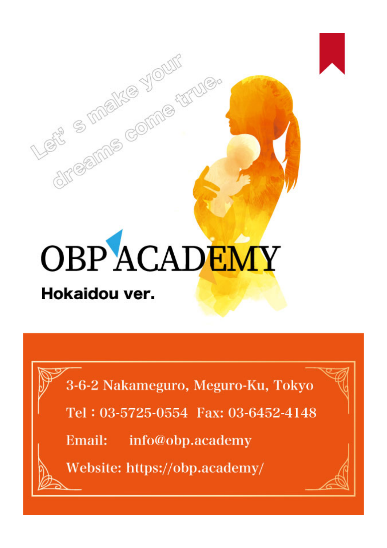

directions come thruise

3-6-2 Nakameguro, Meguro-Ku, Tokyo

Tel: 03-5725-0554 Fax: 03-6452-4148

Email: info@obp.academy

Website: https://obp.academy/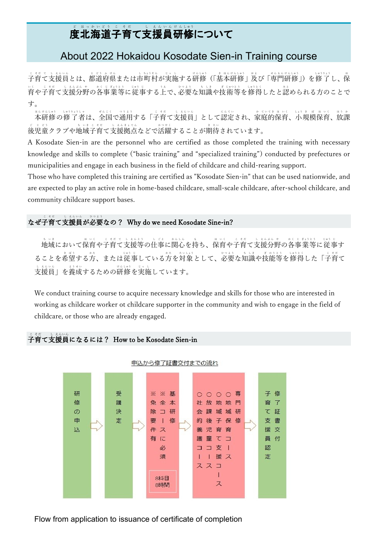#### 度北海道子育て支援員研修について ど ほ っ か い ど う こ そ だ し え ん い ん け ん しゅう

### About 2022 Hokaidou Kosodate Sien-in Training course

こそてした…。」とらなは、「しいは、「。」」のは、「まはは、「、」、」、」、」、「……」、「……」、「」、「 育や子育て支援分野の各事業等に従事する上で、必要な知識や技術等を修得したと認められる方のことで い く こ そ だ し え ん ぶ ん や か く じ ぎょう と う じゅう じ う え ひ つ よ う ち し き ぎ じゅつ と う しゅう と く み と す。

本研修の修了者は、全国で通用する「子育て支援員」として認定され、家庭的保育、小規模保育、放課 ほ ん け ん しゅう しゅう りょう し ゃ ぜ ん こ く つ う よ う こ そ だ し え ん い ん に ん て い か て い て き ほ い く しょう き ぼ ほ い く ほ う か 後児童クラブや地域子育て支援拠点などで活躍することが期待されています。 ご じ ど う ち い き こ そ だ し え ん き ょ て ん か つ や く き た い

A Kosodate Sien-in are the personnel who are certified as those completed the training with necessary knowledge and skills to complete ("basic training" and "specialized training") conducted by prefectures or municipalities and engage in each business in the field of childcare and child-rearing support.

Those who have completed this training are certified as "Kosodate Sien-in" that can be used nationwide, and are expected to play an active role in home-based childcare, small-scale childcare, after-school childcare, and community childcare support bases.

#### なぜ子育て支援員が必要なの? Why do we need Kosodate Sine-in? こ そ だ し え ん い ん ひ つ よ う

地 ち 域 い き において保 ほ 育 い く や子 こ 育 そ だ て て 支 し 援 え ん 等 と う の仕 し 事 ご と に関 か ん 心 し ん を持 も ち、保 ほ 育 い く や子 こ 育 そ だ て支 し 援 え ん 分 ぶ ん 野 や の各 か く 事 じ 業 ぎょう 等 と う に従 じゅう 事 じ す ることを希望する方、または従事している方を対象として、必要な知識や技能等を修得した「子育て 支援員」を養成するための研修を実施しています。 し え ん い ん よ う せ い け ん しゅう じ っ し

We conduct training course to acquire necessary knowledge and skills for those who are interested in working as childcare worker ot childcare supporter in the community and wish to engage in the field of childcare, or those who are already engaged.

## こだ<br>子育て支援員になるには? How to be Kosodate Sien-in



申込から修了証書交付までの流れ

Flow from application to issuance of certificate of completion